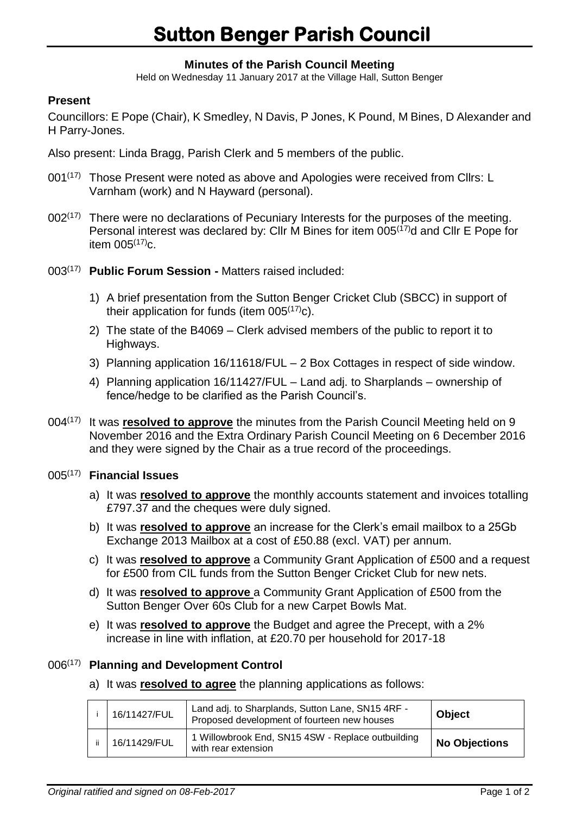## **Minutes of the Parish Council Meeting**

Held on Wednesday 11 January 2017 at the Village Hall, Sutton Benger

## **Present**

Councillors: E Pope (Chair), K Smedley, N Davis, P Jones, K Pound, M Bines, D Alexander and H Parry-Jones.

Also present: Linda Bragg, Parish Clerk and 5 members of the public.

- $001^{(17)}$  Those Present were noted as above and Apologies were received from Cllrs: L Varnham (work) and N Hayward (personal).
- $002<sup>(17)</sup>$  There were no declarations of Pecuniary Interests for the purposes of the meeting. Personal interest was declared by: Cllr M Bines for item 005(17)d and Cllr E Pope for item  $005^{(17)}$ c.
- 003(17) **Public Forum Session -** Matters raised included:
	- 1) A brief presentation from the Sutton Benger Cricket Club (SBCC) in support of their application for funds (item  $005^{(17)}c$ ).
	- 2) The state of the B4069 Clerk advised members of the public to report it to Highways.
	- 3) Planning application 16/11618/FUL 2 Box Cottages in respect of side window.
	- 4) Planning application 16/11427/FUL Land adj. to Sharplands ownership of fence/hedge to be clarified as the Parish Council's.
- 004<sup>(17)</sup> It was **resolved to approve** the minutes from the Parish Council Meeting held on 9 November 2016 and the Extra Ordinary Parish Council Meeting on 6 December 2016 and they were signed by the Chair as a true record of the proceedings.

## 005 (17) **Financial Issues**

- a) It was **resolved to approve** the monthly accounts statement and invoices totalling £797.37 and the cheques were duly signed.
- b) It was **resolved to approve** an increase for the Clerk's email mailbox to a 25Gb Exchange 2013 Mailbox at a cost of £50.88 (excl. VAT) per annum.
- c) It was **resolved to approve** a Community Grant Application of £500 and a request for £500 from CIL funds from the Sutton Benger Cricket Club for new nets.
- d) It was **resolved to approve** a Community Grant Application of £500 from the Sutton Benger Over 60s Club for a new Carpet Bowls Mat.
- e) It was **resolved to approve** the Budget and agree the Precept, with a 2% increase in line with inflation, at £20.70 per household for 2017-18

## 006 (17) **Planning and Development Control**

a) It was **resolved to agree** the planning applications as follows:

| 16/11427/FUL | Land adj. to Sharplands, Sutton Lane, SN15 4RF -<br>Proposed development of fourteen new houses | <b>Object</b>        |
|--------------|-------------------------------------------------------------------------------------------------|----------------------|
| 16/11429/FUL | 1 Willowbrook End, SN15 4SW - Replace outbuilding<br>with rear extension                        | <b>No Objections</b> |